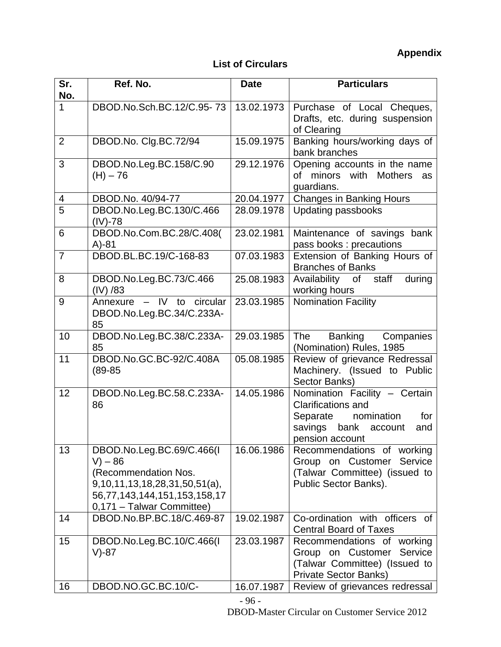## **List of Circulars**

| Sr.<br>No.     | Ref. No.                                                                                                                                                       | <b>Date</b> | <b>Particulars</b>                                                                                                                               |
|----------------|----------------------------------------------------------------------------------------------------------------------------------------------------------------|-------------|--------------------------------------------------------------------------------------------------------------------------------------------------|
| 1              | DBOD.No.Sch.BC.12/C.95-73                                                                                                                                      | 13.02.1973  | Purchase of Local Cheques,<br>Drafts, etc. during suspension<br>of Clearing                                                                      |
| $\overline{2}$ | DBOD.No. Clg.BC.72/94                                                                                                                                          | 15.09.1975  | Banking hours/working days of<br>bank branches                                                                                                   |
| 3              | DBOD.No.Leg.BC.158/C.90<br>$(H) - 76$                                                                                                                          | 29.12.1976  | Opening accounts in the name<br>of minors with Mothers<br>as<br>guardians.                                                                       |
| $\overline{4}$ | DBOD.No. 40/94-77                                                                                                                                              | 20.04.1977  | <b>Changes in Banking Hours</b>                                                                                                                  |
| $\overline{5}$ | DBOD.No.Leg.BC.130/C.466<br>$(IV) - 78$                                                                                                                        | 28.09.1978  | Updating passbooks                                                                                                                               |
| 6              | DBOD.No.Com.BC.28/C.408(<br>$A)-81$                                                                                                                            | 23.02.1981  | Maintenance of savings bank<br>pass books : precautions                                                                                          |
| $\overline{7}$ | DBOD.BL.BC.19/C-168-83                                                                                                                                         | 07.03.1983  | Extension of Banking Hours of<br><b>Branches of Banks</b>                                                                                        |
| 8              | DBOD.No.Leg.BC.73/C.466<br>$(IV)$ /83                                                                                                                          | 25.08.1983  | Availability of staff<br>during<br>working hours                                                                                                 |
| 9              | Annexure - IV to circular<br>DBOD.No.Leg.BC.34/C.233A-<br>85                                                                                                   | 23.03.1985  | <b>Nomination Facility</b>                                                                                                                       |
| 10             | DBOD.No.Leg.BC.38/C.233A-<br>85                                                                                                                                | 29.03.1985  | The<br>Banking<br>Companies<br>(Nomination) Rules, 1985                                                                                          |
| 11             | DBOD.No.GC.BC-92/C.408A<br>$(89 - 85)$                                                                                                                         | 05.08.1985  | Review of grievance Redressal<br>Machinery. (Issued to Public<br>Sector Banks)                                                                   |
| 12             | DBOD.No.Leg.BC.58.C.233A-<br>86                                                                                                                                | 14.05.1986  | Nomination Facility - Certain<br><b>Clarifications and</b><br>nomination<br>Separate<br>for<br>savings bank<br>account<br>and<br>pension account |
| 13             | DBOD.No.Leg.BC.69/C.466(I<br>$V - 86$<br>(Recommendation Nos.<br>$9,10,11,13,18,28,31,50,51(a)$ ,<br>56,77,143,144,151,153,158,17<br>0,171 - Talwar Committee) | 16.06.1986  | Recommendations of working<br>Group on Customer<br>Service<br>(Talwar Committee) (issued to<br>Public Sector Banks).                             |
| 14             | DBOD.No.BP.BC.18/C.469-87                                                                                                                                      | 19.02.1987  | Co-ordination with officers of<br><b>Central Board of Taxes</b>                                                                                  |
| 15             | DBOD.No.Leg.BC.10/C.466(I<br>V)-87                                                                                                                             | 23.03.1987  | Recommendations of working<br>Group on Customer<br>Service<br>(Talwar Committee) (Issued to<br><b>Private Sector Banks)</b>                      |
| 16             | DBOD.NO.GC.BC.10/C-                                                                                                                                            | 16.07.1987  | Review of grievances redressal                                                                                                                   |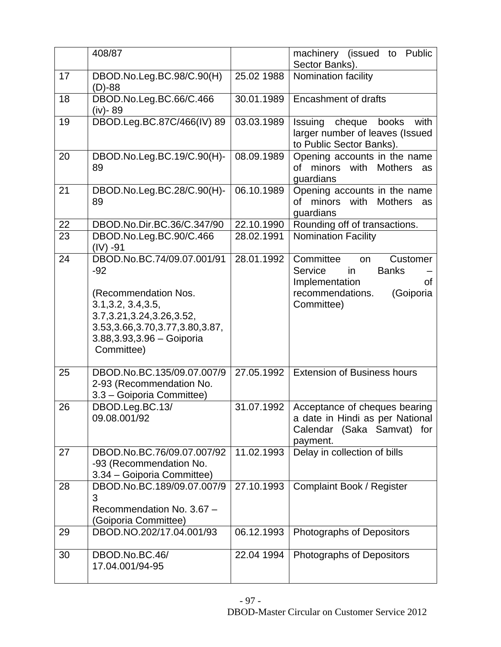|    | 408/87                                                                                                                                                                                                 |            | machinery (issued to<br>Public<br>Sector Banks).                                                                                    |
|----|--------------------------------------------------------------------------------------------------------------------------------------------------------------------------------------------------------|------------|-------------------------------------------------------------------------------------------------------------------------------------|
| 17 | DBOD.No.Leg.BC.98/C.90(H)<br>$(D)-88$                                                                                                                                                                  | 25.02 1988 | Nomination facility                                                                                                                 |
| 18 | DBOD.No.Leg.BC.66/C.466<br>(iv)-89                                                                                                                                                                     | 30.01.1989 | <b>Encashment of drafts</b>                                                                                                         |
| 19 | DBOD.Leg.BC.87C/466(IV) 89                                                                                                                                                                             | 03.03.1989 | Issuing cheque<br>books<br>with<br>larger number of leaves (Issued<br>to Public Sector Banks).                                      |
| 20 | DBOD.No.Leg.BC.19/C.90(H)-<br>89                                                                                                                                                                       | 08.09.1989 | Opening accounts in the name<br>of minors with Mothers<br>as<br>guardians                                                           |
| 21 | DBOD.No.Leg.BC.28/C.90(H)-<br>89                                                                                                                                                                       | 06.10.1989 | Opening accounts in the name<br>of minors with Mothers<br>as<br>quardians                                                           |
| 22 | DBOD.No.Dir.BC.36/C.347/90                                                                                                                                                                             | 22.10.1990 | Rounding off of transactions.                                                                                                       |
| 23 | DBOD.No.Leg.BC.90/C.466<br>$(IV) -91$                                                                                                                                                                  | 28.02.1991 | <b>Nomination Facility</b>                                                                                                          |
| 24 | DBOD.No.BC.74/09.07.001/91<br>$-92$<br>(Recommendation Nos.<br>3.1, 3.2, 3.4, 3.5,<br>3.7, 3.21, 3.24, 3.26, 3.52,<br>3.53, 3.66, 3.70, 3.77, 3.80, 3.87,<br>3.88, 3.93, 3.96 - Goiporia<br>Committee) | 28.01.1992 | Committee<br>Customer<br>on<br>Service<br>in<br><b>Banks</b><br>Implementation<br>οf<br>recommendations.<br>(Goiporia<br>Committee) |
| 25 | DBOD.No.BC.135/09.07.007/9<br>2-93 (Recommendation No.<br>3.3 - Goiporia Committee)                                                                                                                    | 27.05.1992 | <b>Extension of Business hours</b>                                                                                                  |
| 26 | DBOD.Leg.BC.13/<br>09.08.001/92                                                                                                                                                                        | 31.07.1992 | Acceptance of cheques bearing<br>a date in Hindi as per National<br>Calendar (Saka Samvat)<br>for<br>payment.                       |
| 27 | DBOD.No.BC.76/09.07.007/92<br>-93 (Recommendation No.<br>3.34 - Goiporia Committee)                                                                                                                    | 11.02.1993 | Delay in collection of bills                                                                                                        |
| 28 | DBOD.No.BC.189/09.07.007/9<br>3<br>Recommendation No. 3.67 -<br>(Goiporia Committee)                                                                                                                   | 27.10.1993 | <b>Complaint Book / Register</b>                                                                                                    |
| 29 | DBOD.NO.202/17.04.001/93                                                                                                                                                                               | 06.12.1993 | Photographs of Depositors                                                                                                           |
| 30 | DBOD.No.BC.46/<br>17.04.001/94-95                                                                                                                                                                      | 22.04 1994 | Photographs of Depositors                                                                                                           |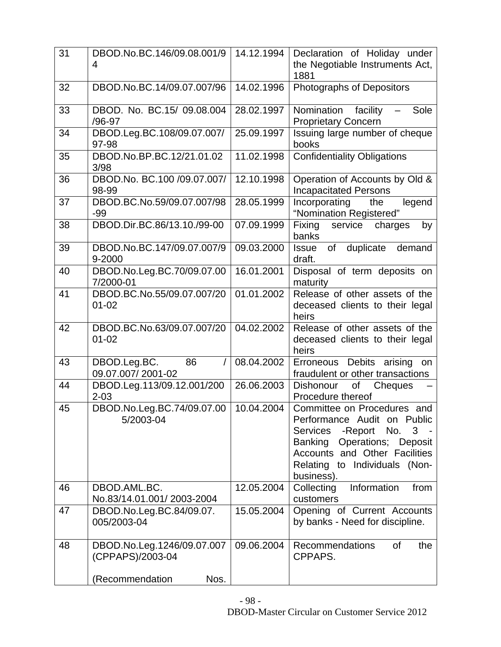| 31 | DBOD.No.BC.146/09.08.001/9<br>4                | 14.12.1994 | Declaration of Holiday under<br>the Negotiable Instruments Act,                                                                                                                                                     |
|----|------------------------------------------------|------------|---------------------------------------------------------------------------------------------------------------------------------------------------------------------------------------------------------------------|
|    |                                                |            | 1881                                                                                                                                                                                                                |
| 32 | DBOD.No.BC.14/09.07.007/96                     | 14.02.1996 | Photographs of Depositors                                                                                                                                                                                           |
| 33 | DBOD. No. BC.15/ 09.08.004<br>/96-97           | 28.02.1997 | Nomination facility - Sole<br><b>Proprietary Concern</b>                                                                                                                                                            |
| 34 | DBOD.Leg.BC.108/09.07.007/<br>97-98            | 25.09.1997 | Issuing large number of cheque<br>books                                                                                                                                                                             |
| 35 | DBOD.No.BP.BC.12/21.01.02<br>3/98              | 11.02.1998 | <b>Confidentiality Obligations</b>                                                                                                                                                                                  |
| 36 | DBOD.No. BC.100 /09.07.007/<br>98-99           | 12.10.1998 | Operation of Accounts by Old &<br><b>Incapacitated Persons</b>                                                                                                                                                      |
| 37 | DBOD.BC.No.59/09.07.007/98<br>$-99$            | 28.05.1999 | legend<br>Incorporating<br>the<br>"Nomination Registered"                                                                                                                                                           |
| 38 | DBOD.Dir.BC.86/13.10./99-00                    | 07.09.1999 | Fixing<br>service<br>charges<br>by<br>banks                                                                                                                                                                         |
| 39 | DBOD.No.BC.147/09.07.007/9<br>9-2000           | 09.03.2000 | duplicate<br>of<br>demand<br><b>Issue</b><br>draft.                                                                                                                                                                 |
| 40 | DBOD.No.Leg.BC.70/09.07.00<br>7/2000-01        | 16.01.2001 | Disposal of term deposits on<br>maturity                                                                                                                                                                            |
| 41 | DBOD.BC.No.55/09.07.007/20<br>$01 - 02$        | 01.01.2002 | Release of other assets of the<br>deceased clients to their legal<br>heirs                                                                                                                                          |
| 42 | DBOD.BC.No.63/09.07.007/20<br>$01 - 02$        | 04.02.2002 | Release of other assets of the<br>deceased clients to their legal<br>heirs                                                                                                                                          |
| 43 | DBOD.Leg.BC.<br>86<br>7<br>09.07.007/2001-02   | 08.04.2002 | Erroneous Debits arising<br>on<br>fraudulent or other transactions                                                                                                                                                  |
| 44 | DBOD.Leg.113/09.12.001/200<br>$2 - 03$         | 26.06.2003 | Dishonour<br>οf<br>Cheques<br>Procedure thereof                                                                                                                                                                     |
| 45 | DBOD.No.Leg.BC.74/09.07.00<br>5/2003-04        | 10.04.2004 | Committee on Procedures and<br>Performance Audit on Public<br>$3 -$<br>Services<br>-Report<br>No.<br>Operations; Deposit<br>Banking<br>Accounts and Other Facilities<br>Relating to Individuals (Non-<br>business). |
| 46 | DBOD.AML.BC.<br>No.83/14.01.001/2003-2004      | 12.05.2004 | Information<br>Collecting<br>from<br>customers                                                                                                                                                                      |
| 47 | DBOD.No.Leg.BC.84/09.07.<br>005/2003-04        | 15.05.2004 | Opening of Current Accounts<br>by banks - Need for discipline.                                                                                                                                                      |
| 48 | DBOD.No.Leg.1246/09.07.007<br>(CPPAPS)/2003-04 | 09.06.2004 | <b>Recommendations</b><br>0f<br>the<br>CPPAPS.                                                                                                                                                                      |
|    | (Recommendation<br>Nos.                        |            |                                                                                                                                                                                                                     |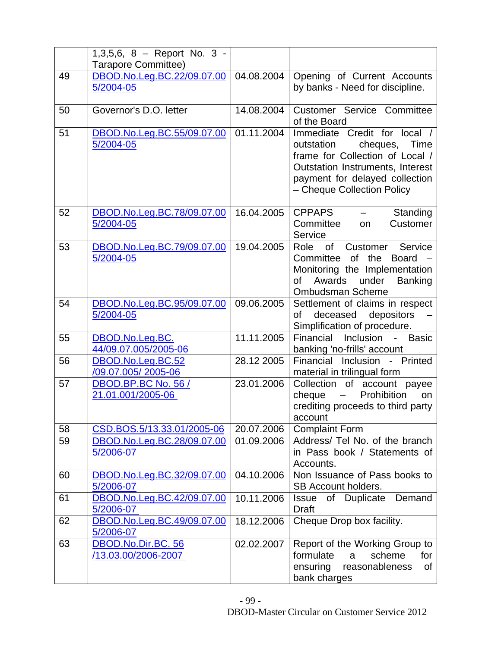|    | 1,3,5,6, 8 - Report No. 3 - |            |                                                                           |
|----|-----------------------------|------------|---------------------------------------------------------------------------|
|    | Tarapore Committee)         |            |                                                                           |
| 49 | DBOD.No.Leg.BC.22/09.07.00  | 04.08.2004 | Opening of Current Accounts                                               |
|    | 5/2004-05                   |            | by banks - Need for discipline.                                           |
|    |                             |            |                                                                           |
| 50 | Governor's D.O. letter      | 14.08.2004 | <b>Customer Service Committee</b>                                         |
|    |                             |            | of the Board                                                              |
| 51 | DBOD.No.Leg.BC.55/09.07.00  | 01.11.2004 | Immediate Credit for local /                                              |
|    | 5/2004-05                   |            | outstation<br>cheques,<br>Time                                            |
|    |                             |            | frame for Collection of Local /                                           |
|    |                             |            | <b>Outstation Instruments, Interest</b><br>payment for delayed collection |
|    |                             |            | - Cheque Collection Policy                                                |
|    |                             |            |                                                                           |
| 52 | DBOD.No.Leg.BC.78/09.07.00  | 16.04.2005 | <b>CPPAPS</b><br>Standing                                                 |
|    | 5/2004-05                   |            | Committee<br>Customer<br><b>on</b>                                        |
|    |                             |            | Service                                                                   |
| 53 | DBOD.No.Leg.BC.79/09.07.00  | 19.04.2005 | Service<br>$\circ$ f<br>Customer<br>Role                                  |
|    | 5/2004-05                   |            | Committee<br>of the<br><b>Board</b>                                       |
|    |                             |            | Monitoring the Implementation                                             |
|    |                             |            | Awards<br>under<br><b>Banking</b><br>of                                   |
|    |                             |            | <b>Ombudsman Scheme</b>                                                   |
| 54 | DBOD.No.Leg.BC.95/09.07.00  | 09.06.2005 | Settlement of claims in respect<br>of                                     |
|    | 5/2004-05                   |            | deceased depositors<br>Simplification of procedure.                       |
| 55 | DBOD.No.Leg.BC.             | 11.11.2005 | Financial<br>Inclusion<br><b>Basic</b><br>$\omega_{\rm{max}}$             |
|    | 44/09.07.005/2005-06        |            | banking 'no-frills' account                                               |
| 56 | DBOD.No.Leg.BC.52           | 28.12 2005 | Inclusion - Printed<br>Financial                                          |
|    | /09.07.005/2005-06          |            | material in trilingual form                                               |
| 57 | DBOD.BP.BC No. 56 /         | 23.01.2006 | Collection of account payee                                               |
|    | 21.01.001/2005-06           |            | Prohibition<br>cheque<br>on                                               |
|    |                             |            | crediting proceeds to third party                                         |
|    |                             |            | account                                                                   |
| 58 | CSD.BOS.5/13.33.01/2005-06  | 20.07.2006 | <b>Complaint Form</b>                                                     |
| 59 | DBOD.No.Leg.BC.28/09.07.00  | 01.09.2006 | Address/ Tel No. of the branch                                            |
|    | 5/2006-07                   |            | in Pass book / Statements of                                              |
| 60 | DBOD.No.Leg.BC.32/09.07.00  | 04.10.2006 | Accounts.<br>Non Issuance of Pass books to                                |
|    | 5/2006-07                   |            | <b>SB Account holders.</b>                                                |
| 61 | DBOD.No.Leg.BC.42/09.07.00  | 10.11.2006 | Issue of Duplicate Demand                                                 |
|    | 5/2006-07                   |            | <b>Draft</b>                                                              |
| 62 | DBOD.No.Leg.BC.49/09.07.00  | 18.12.2006 | Cheque Drop box facility.                                                 |
|    | 5/2006-07                   |            |                                                                           |
| 63 | DBOD.No.Dir.BC. 56          | 02.02.2007 | Report of the Working Group to                                            |
|    | /13.03.00/2006-2007         |            | formulate<br>scheme<br>for<br>a                                           |
|    |                             |            | reasonableness<br>ensuring<br>of                                          |
|    |                             |            | bank charges                                                              |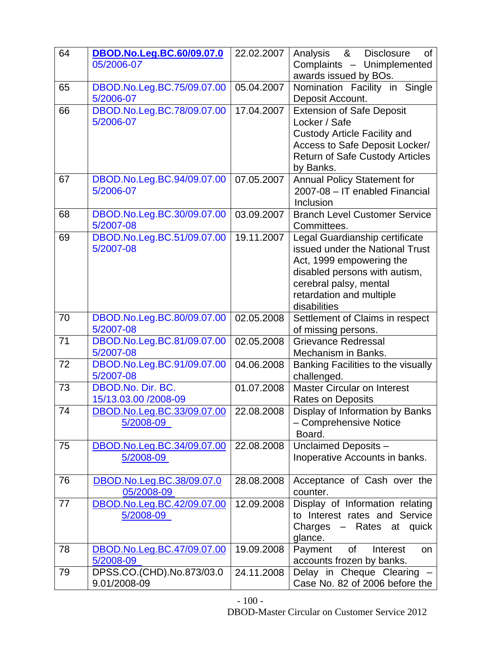| 64 | DBOD.No.Leg.BC.60/09.07.0  | 22.02.2007 | &<br>Analysis<br><b>Disclosure</b><br>0f               |
|----|----------------------------|------------|--------------------------------------------------------|
|    | 05/2006-07                 |            | Complaints - Unimplemented                             |
|    |                            |            | awards issued by BOs.                                  |
| 65 | DBOD.No.Leg.BC.75/09.07.00 | 05.04.2007 | Nomination Facility in Single                          |
|    | 5/2006-07                  |            | Deposit Account.                                       |
| 66 | DBOD.No.Leg.BC.78/09.07.00 | 17.04.2007 | <b>Extension of Safe Deposit</b>                       |
|    | 5/2006-07                  |            | Locker / Safe                                          |
|    |                            |            | <b>Custody Article Facility and</b>                    |
|    |                            |            | Access to Safe Deposit Locker/                         |
|    |                            |            | <b>Return of Safe Custody Articles</b>                 |
|    |                            |            | by Banks.                                              |
| 67 | DBOD.No.Leg.BC.94/09.07.00 | 07.05.2007 | <b>Annual Policy Statement for</b>                     |
|    | 5/2006-07                  |            | 2007-08 - IT enabled Financial                         |
|    |                            |            | Inclusion                                              |
| 68 | DBOD.No.Leg.BC.30/09.07.00 | 03.09.2007 | <b>Branch Level Customer Service</b>                   |
|    | 5/2007-08                  |            | Committees.                                            |
| 69 | DBOD.No.Leg.BC.51/09.07.00 | 19.11.2007 | Legal Guardianship certificate                         |
|    | 5/2007-08                  |            | issued under the National Trust                        |
|    |                            |            | Act, 1999 empowering the                               |
|    |                            |            | disabled persons with autism,                          |
|    |                            |            | cerebral palsy, mental                                 |
|    |                            |            | retardation and multiple                               |
| 70 | DBOD.No.Leg.BC.80/09.07.00 | 02.05.2008 | disabilities                                           |
|    | 5/2007-08                  |            | Settlement of Claims in respect<br>of missing persons. |
| 71 | DBOD.No.Leg.BC.81/09.07.00 | 02.05.2008 | <b>Grievance Redressal</b>                             |
|    | 5/2007-08                  |            | Mechanism in Banks.                                    |
| 72 | DBOD.No.Leg.BC.91/09.07.00 | 04.06.2008 | Banking Facilities to the visually                     |
|    | 5/2007-08                  |            | challenged.                                            |
| 73 | DBOD.No. Dir. BC.          | 01.07.2008 | <b>Master Circular on Interest</b>                     |
|    | 15/13.03.00 /2008-09       |            | Rates on Deposits                                      |
| 74 | DBOD.No.Leg.BC.33/09.07.00 | 22.08.2008 | Display of Information by Banks                        |
|    | 5/2008-09                  |            | - Comprehensive Notice                                 |
|    |                            |            | Board.                                                 |
| 75 | DBOD.No.Leg.BC.34/09.07.00 | 22.08.2008 | Unclaimed Deposits -                                   |
|    | 5/2008-09                  |            | Inoperative Accounts in banks.                         |
|    |                            |            |                                                        |
| 76 | DBOD.No.Leg.BC.38/09.07.0  | 28.08.2008 | Acceptance of Cash over the                            |
|    | 05/2008-09                 |            | counter.                                               |
| 77 | DBOD.No.Leg.BC.42/09.07.00 | 12.09.2008 | Display of Information relating                        |
|    | 5/2008-09                  |            | to Interest rates and Service                          |
|    |                            |            | Charges<br>- Rates at quick                            |
|    |                            |            | glance.                                                |
| 78 | DBOD.No.Leg.BC.47/09.07.00 | 19.09.2008 | Payment<br>of<br>Interest<br>on                        |
|    | 5/2008-09                  |            | accounts frozen by banks.                              |
| 79 | DPSS.CO.(CHD).No.873/03.0  | 24.11.2008 | Delay in Cheque Clearing                               |
|    | 9.01/2008-09               |            | Case No. 82 of 2006 before the                         |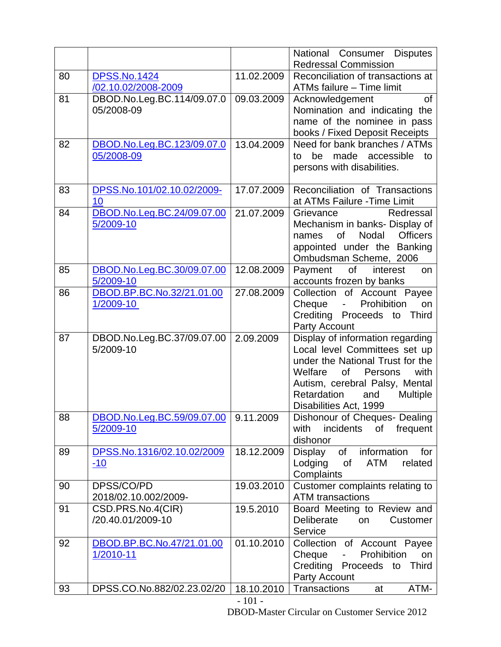|    |                            |            | National Consumer Disputes                    |
|----|----------------------------|------------|-----------------------------------------------|
|    |                            |            | <b>Redressal Commission</b>                   |
| 80 | <b>DPSS.No.1424</b>        | 11.02.2009 | Reconciliation of transactions at             |
|    | /02.10.02/2008-2009        |            | ATMs failure - Time limit                     |
| 81 | DBOD.No.Leg.BC.114/09.07.0 | 09.03.2009 | Acknowledgement<br>0f                         |
|    | 05/2008-09                 |            | Nomination and indicating the                 |
|    |                            |            | name of the nominee in pass                   |
|    |                            |            | books / Fixed Deposit Receipts                |
| 82 | DBOD.No.Leg.BC.123/09.07.0 | 13.04.2009 | Need for bank branches / ATMs                 |
|    | 05/2008-09                 |            | made accessible<br>be<br>to<br>to             |
|    |                            |            | persons with disabilities.                    |
|    |                            |            |                                               |
| 83 | DPSS.No.101/02.10.02/2009- | 17.07.2009 | Reconciliation of Transactions                |
|    | 10                         |            | at ATMs Failure - Time Limit                  |
| 84 | DBOD.No.Leg.BC.24/09.07.00 | 21.07.2009 | Grievance<br>Redressal                        |
|    | 5/2009-10                  |            | Mechanism in banks- Display of                |
|    |                            |            | of<br>Nodal<br><b>Officers</b><br>names       |
|    |                            |            | appointed under the Banking                   |
|    |                            |            | Ombudsman Scheme, 2006                        |
| 85 | DBOD.No.Leg.BC.30/09.07.00 | 12.08.2009 | of<br>Payment<br>interest<br>on               |
|    | 5/2009-10                  |            | accounts frozen by banks                      |
| 86 | DBOD.BP.BC.No.32/21.01.00  | 27.08.2009 | Collection of Account Payee                   |
|    | 1/2009-10                  |            | Prohibition<br>Cheque<br>on<br>$\blacksquare$ |
|    |                            |            | Crediting Proceeds to<br><b>Third</b>         |
|    |                            |            | Party Account                                 |
| 87 | DBOD.No.Leg.BC.37/09.07.00 | 2.09.2009  | Display of information regarding              |
|    | 5/2009-10                  |            | Local level Committees set up                 |
|    |                            |            | under the National Trust for the              |
|    |                            |            | of<br>Welfare<br>Persons<br>with              |
|    |                            |            | Autism, cerebral Palsy, Mental                |
|    |                            |            | Retardation<br><b>Multiple</b><br>and         |
|    |                            |            | Disabilities Act, 1999                        |
| 88 | DBOD.No.Leg.BC.59/09.07.00 | 9.11.2009  | Dishonour of Cheques- Dealing                 |
|    | 5/2009-10                  |            | incidents<br>frequent<br>with<br>of           |
|    |                            |            | dishonor                                      |
| 89 | DPSS.No.1316/02.10.02/2009 | 18.12.2009 | of information<br>Display<br>for              |
|    | $-10$                      |            | Lodging<br><b>ATM</b><br>related<br>of        |
|    |                            |            | Complaints                                    |
| 90 | DPSS/CO/PD                 | 19.03.2010 | Customer complaints relating to               |
|    | 2018/02.10.002/2009-       |            | <b>ATM</b> transactions                       |
| 91 | CSD.PRS.No.4(CIR)          | 19.5.2010  | Board Meeting to Review and                   |
|    | /20.40.01/2009-10          |            | Deliberate<br>Customer<br>on                  |
|    |                            |            | Service                                       |
| 92 | DBOD.BP.BC.No.47/21.01.00  | 01.10.2010 | Collection of Account Payee                   |
|    | 1/2010-11                  |            | Prohibition<br>Cheque<br>on<br>÷.             |
|    |                            |            | Crediting Proceeds to<br><b>Third</b>         |
|    |                            |            | Party Account                                 |
| 93 | DPSS.CO.No.882/02.23.02/20 | 18.10.2010 | Transactions<br>ATM-<br>at                    |
|    |                            | $-101 -$   |                                               |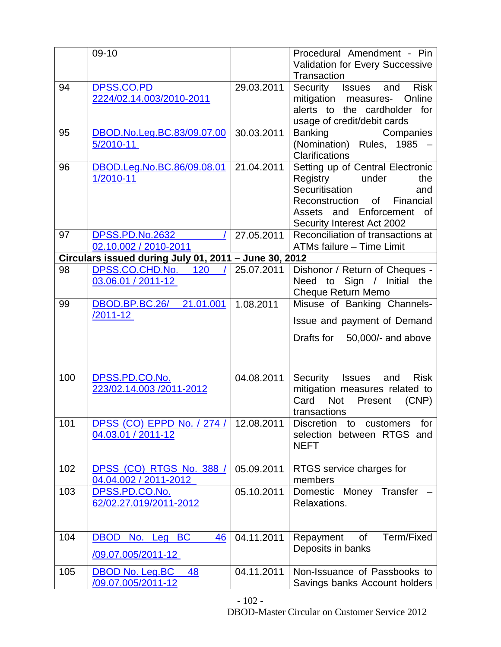|     | 09-10                                                 |            | Procedural Amendment - Pin                                      |
|-----|-------------------------------------------------------|------------|-----------------------------------------------------------------|
|     |                                                       |            | <b>Validation for Every Successive</b><br>Transaction           |
| 94  | DPSS.CO.PD                                            | 29.03.2011 | <b>Risk</b><br>Security<br>Issues<br>and                        |
|     | 2224/02.14.003/2010-2011                              |            | mitigation measures-<br>Online                                  |
|     |                                                       |            | alerts to the cardholder for                                    |
|     |                                                       |            | usage of credit/debit cards                                     |
| 95  | DBOD.No.Leg.BC.83/09.07.00                            | 30.03.2011 | Companies<br><b>Banking</b>                                     |
|     | 5/2010-11                                             |            | (Nomination) Rules, 1985 -                                      |
|     |                                                       |            | <b>Clarifications</b>                                           |
| 96  | DBOD.Leg.No.BC.86/09.08.01                            | 21.04.2011 | Setting up of Central Electronic                                |
|     | 1/2010-11                                             |            | Registry<br>under<br>the                                        |
|     |                                                       |            | Securitisation<br>and                                           |
|     |                                                       |            | of l<br>Financial<br>Reconstruction                             |
|     |                                                       |            | Assets and Enforcement of                                       |
| 97  | <b>DPSS.PD.No.2632</b>                                | 27.05.2011 | Security Interest Act 2002<br>Reconciliation of transactions at |
|     | 02.10.002 / 2010-2011                                 |            | ATMs failure - Time Limit                                       |
|     | Circulars issued during July 01, 2011 - June 30, 2012 |            |                                                                 |
| 98  | 120/<br>DPSS.CO.CHD.No.                               | 25.07.2011 | Dishonor / Return of Cheques -                                  |
|     | 03.06.01 / 2011-12                                    |            | Need to Sign / Initial the                                      |
|     |                                                       |            | <b>Cheque Return Memo</b>                                       |
| 99  | DBOD.BP.BC.26/<br>21.01.001                           | 1.08.2011  | Misuse of Banking Channels-                                     |
|     | /2011-12                                              |            | Issue and payment of Demand                                     |
|     |                                                       |            |                                                                 |
|     |                                                       |            | Drafts for 50,000/- and above                                   |
|     |                                                       |            |                                                                 |
|     |                                                       |            |                                                                 |
| 100 | DPSS.PD.CO.No.                                        | 04.08.2011 | Security Issues and<br><b>Risk</b>                              |
|     | 223/02.14.003 /2011-2012                              |            | mitigation measures related to<br>Not<br>Card<br>Present        |
|     |                                                       |            | (CNP)<br>transactions                                           |
| 101 | DPSS (CO) EPPD No. / 274 /                            | 12.08.2011 | for<br><b>Discretion</b><br>to<br>customers                     |
|     | 04.03.01 / 2011-12                                    |            | selection between RTGS and                                      |
|     |                                                       |            | <b>NEFT</b>                                                     |
|     |                                                       |            |                                                                 |
| 102 | DPSS (CO) RTGS No. 388 /                              | 05.09.2011 | RTGS service charges for                                        |
|     | 04.04.002 / 2011-2012                                 |            | members                                                         |
| 103 | DPSS.PD.CO.No.                                        | 05.10.2011 | Domestic Money Transfer                                         |
|     | 62/02.27.019/2011-2012                                |            | Relaxations.                                                    |
|     |                                                       |            |                                                                 |
| 104 | No. Leg BC<br><b>DBOD</b><br>46                       | 04.11.2011 | Term/Fixed<br>Repayment<br>of                                   |
|     |                                                       |            | Deposits in banks                                               |
|     | /09.07.005/2011-12                                    |            |                                                                 |
| 105 | <b>DBOD No. Leg.BC</b><br>48                          | 04.11.2011 | Non-Issuance of Passbooks to                                    |
|     | /09.07.005/2011-12                                    |            | Savings banks Account holders                                   |

- 102 -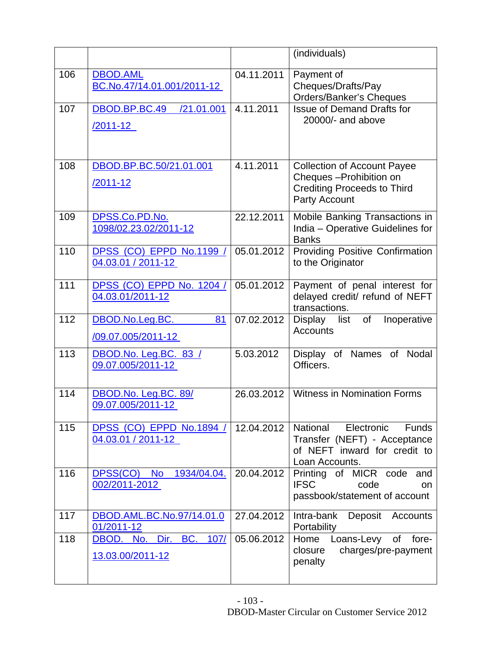|     |                                                       |            | (individuals)                                                                                                            |
|-----|-------------------------------------------------------|------------|--------------------------------------------------------------------------------------------------------------------------|
| 106 | <b>DBOD.AML</b><br>BC.No.47/14.01.001/2011-12         | 04.11.2011 | Payment of<br>Cheques/Drafts/Pay<br>Orders/Banker's Cheques                                                              |
| 107 | DBOD.BP.BC.49<br>/21.01.001<br><u>/2011-12_</u>       | 4.11.2011  | <b>Issue of Demand Drafts for</b><br>20000/- and above                                                                   |
| 108 | DBOD.BP.BC.50/21.01.001<br><u>/2011-12</u>            | 4.11.2011  | <b>Collection of Account Payee</b><br>Cheques - Prohibition on<br><b>Crediting Proceeds to Third</b><br>Party Account    |
| 109 | DPSS.Co.PD.No.<br>1098/02.23.02/2011-12               | 22.12.2011 | Mobile Banking Transactions in<br>India - Operative Guidelines for<br><b>Banks</b>                                       |
| 110 | DPSS (CO) EPPD No.1199 /<br>04.03.01 / 2011-12        | 05.01.2012 | <b>Providing Positive Confirmation</b><br>to the Originator                                                              |
| 111 | DPSS (CO) EPPD No. 1204 /<br>04.03.01/2011-12         | 05.01.2012 | Payment of penal interest for<br>delayed credit/ refund of NEFT<br>transactions.                                         |
| 112 | DBOD.No.Leg.BC.<br>81<br>/09.07.005/2011-12           | 07.02.2012 | of<br>Display list<br>Inoperative<br><b>Accounts</b>                                                                     |
| 113 | DBOD.No. Leg.BC. 83 /<br>09.07.005/2011-12            | 5.03.2012  | Display of Names of Nodal<br>Officers.                                                                                   |
| 114 | DBOD.No. Leg.BC. 89/<br>09.07.005/2011-12             | 26.03.2012 | <b>Witness in Nomination Forms</b>                                                                                       |
| 115 | DPSS (CO) EPPD No.1894 /<br>04.03.01 / 2011-12        | 12.04.2012 | Electronic<br>National<br><b>Funds</b><br>Transfer (NEFT) - Acceptance<br>of NEFT inward for credit to<br>Loan Accounts. |
| 116 | DPSS(CO)<br>1934/04.04.<br><b>No</b><br>002/2011-2012 | 20.04.2012 | Printing of MICR code and<br><b>IFSC</b><br>code<br><b>on</b><br>passbook/statement of account                           |
| 117 | DBOD.AML.BC.No.97/14.01.0<br>01/2011-12               | 27.04.2012 | Intra-bank<br>Deposit Accounts<br>Portability                                                                            |
| 118 | BC. 107/<br>DBOD. No. Dir.<br>13.03.00/2011-12        | 05.06.2012 | Home<br>Loans-Levy of fore-<br>charges/pre-payment<br>closure<br>penalty                                                 |